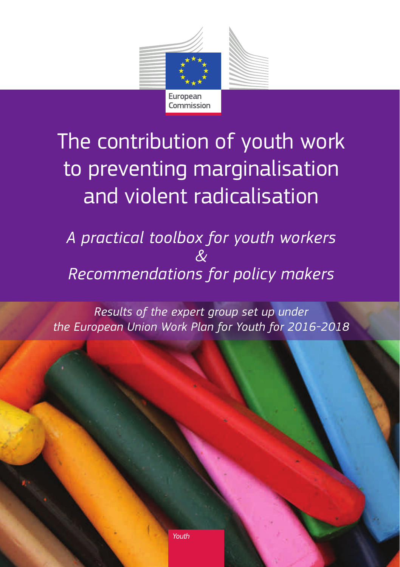

# The contribution of youth work to preventing marginalisation and violent radicalisation

*A practical toolbox for youth workers & Recommendations for policy makers*

*Results of the expert group set up under the European Union Work Plan for Youth for 2016-2018*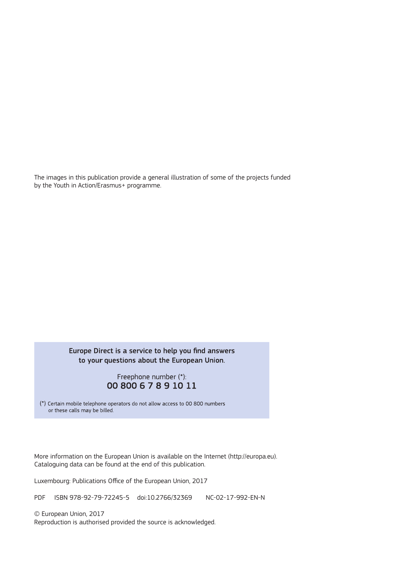The images in this publication provide a general illustration of some of the projects funded by the Youth in Action/Erasmus+ programme.

#### Europe Direct is a service to help you find answers to your questions about the European Union.

#### Freephone number (\*): 00 800 6 7 8 9 10 11

(\*) Certain mobile telephone operators do not allow access to 00 800 numbers or these calls may be billed.

More information on the European Union is available on the Internet (http://europa.eu). Cataloguing data can be found at the end of this publication.

Luxembourg: Publications Office of the European Union, 2017

PDF ISBN 978-92-79-72245-5 doi:10.2766/32369 NC-02-17-992-EN-N

© European Union, 2017

Reproduction is authorised provided the source is acknowledged.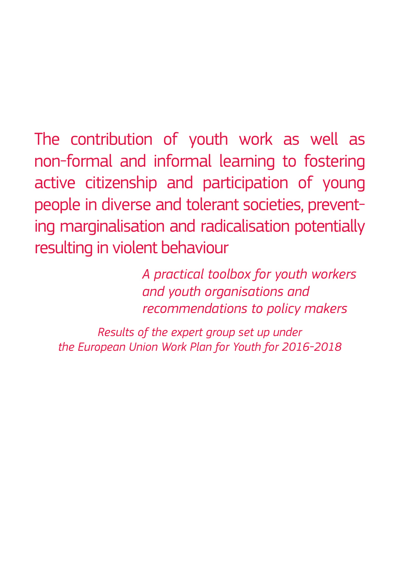The contribution of youth work as well as non-formal and informal learning to fostering active citizenship and participation of young people in diverse and tolerant societies, preventing marginalisation and radicalisation potentially resulting in violent behaviour

> *A practical toolbox for youth workers and youth organisations and recommendations to policy makers*

*Results of the expert group set up under the European Union Work Plan for Youth for 2016-2018*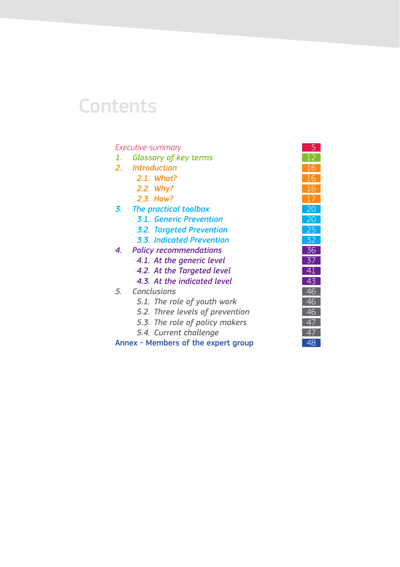## **Contents**

#### **[Executive summary](#page-6-0)**

- 1. [Glossary of key terms](#page-13-0)
- *2. [Introduction](#page-17-0)* 16
	- *2.1. What?*
	- *2.2. [Why?](#page-17-0)*
	- *2.3. [How?](#page-18-0)*
- **3.** [The practical toolbox](#page-21-0)
	- **3.1. [Generic Prevention](#page-21-0)**
	- **3.2. [Targeted Prevention](#page-26-0)**
	- *3.3. [Indicated Prevention](#page-33-0)* 32
- **4.** [Policy recommendations](#page-37-0)
	- **4.1.** [At the generic level](#page-38-0)
	- **4.2. [At the Targeted level](#page-42-0)**
	- **4.3. [At the indicated level](#page-44-0)**
- 5. **[Conclusions](#page-47-0)** 
	- 5.1. [The role of youth work](#page-47-0)
	- 5.2. [Three levels of prevention](#page-47-0)
	- 5.3. [The role of policy makers](#page-48-0)
	- **5.4.** [Current challenge](#page-48-0)

[Annex - Members of the expert group](#page-49-0)

| 5             |  |
|---------------|--|
|               |  |
|               |  |
|               |  |
| ٦             |  |
|               |  |
| $\frac{1}{2}$ |  |
|               |  |
|               |  |
|               |  |
| Ī             |  |
| Ŝ             |  |
| $\frac{1}{4}$ |  |
|               |  |
|               |  |
|               |  |
|               |  |
|               |  |
|               |  |
| 48            |  |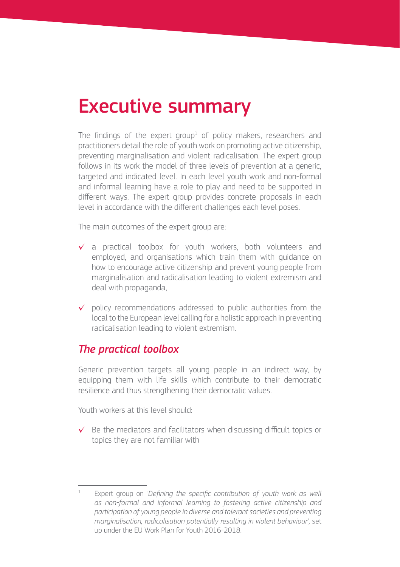## <span id="page-6-0"></span>Executive summary

The findings of the expert group $^1$  of policy makers, researchers and practitioners detail the role of youth work on promoting active citizenship, preventing marginalisation and violent radicalisation. The expert group follows in its work the model of three levels of prevention at a generic, targeted and indicated level. In each level youth work and non-formal and informal learning have a role to play and need to be supported in different ways. The expert group provides concrete proposals in each level in accordance with the different challenges each level poses.

The main outcomes of the expert group are:

- $\checkmark$  a practical toolbox for youth workers, both volunteers and employed, and organisations which train them with guidance on how to encourage active citizenship and prevent young people from marginalisation and radicalisation leading to violent extremism and deal with propaganda,
- $\checkmark$  policy recommendations addressed to public authorities from the local to the European level calling for a holistic approach in preventing radicalisation leading to violent extremism.

### *The practical toolbox*

Generic prevention targets all young people in an indirect way, by equipping them with life skills which contribute to their democratic resilience and thus strengthening their democratic values.

Youth workers at this level should:

 $\checkmark$  Be the mediators and facilitators when discussing difficult topics or topics they are not familiar with

Expert group on *'Defining the specific contribution of youth work as well as non-formal and informal learning to fostering active citizenship and participation of young people in diverse and tolerant societies and preventing marginalisation, radicalisation potentially resulting in violent behaviour',* set up under the EU Work Plan for Youth 2016-2018.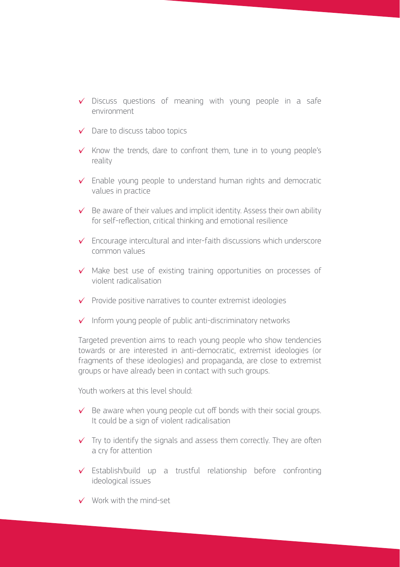- $\checkmark$  Discuss questions of meaning with young people in a safe environment
- ✓ Dare to discuss taboo topics
- $\checkmark$  Know the trends, dare to confront them, tune in to young people's reality
- $\checkmark$  Enable young people to understand human rights and democratic values in practice
- $\checkmark$  Be aware of their values and implicit identity. Assess their own ability for self-reflection, critical thinking and emotional resilience
- $\checkmark$  Encourage intercultural and inter-faith discussions which underscore common values
- ✓ Make best use of existing training opportunities on processes of violent radicalisation
- $\checkmark$  Provide positive narratives to counter extremist ideologies
- $\checkmark$  Inform young people of public anti-discriminatory networks

Targeted prevention aims to reach young people who show tendencies towards or are interested in anti-democratic, extremist ideologies (or fragments of these ideologies) and propaganda, are close to extremist groups or have already been in contact with such groups.

Youth workers at this level should:

- $\checkmark$  Be aware when young people cut off bonds with their social groups. It could be a sign of violent radicalisation
- $\checkmark$  Try to identify the signals and assess them correctly. They are often a cry for attention
- $\checkmark$  Establish/build up a trustful relationship before confronting ideological issues
- ✓ Work with the mind-set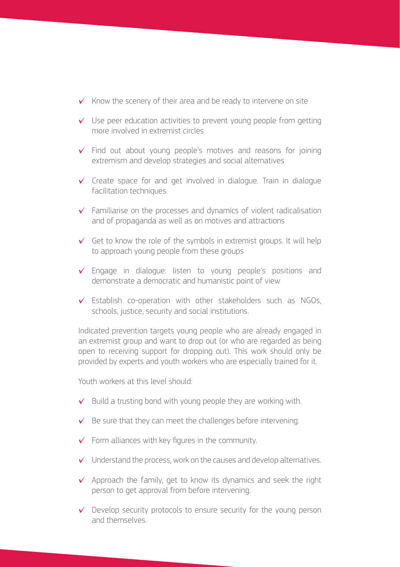- $\checkmark$  Know the scenery of their area and be ready to intervene on site
- $\checkmark$  Use peer education activities to prevent young people from getting more involved in extremist circles
- $\checkmark$  Find out about young people's motives and reasons for joining extremism and develop strategies and social alternatives
- $\checkmark$  Create space for and get involved in dialogue. Train in dialogue facilitation techniques.
- $\checkmark$  Familiarise on the processes and dynamics of violent radicalisation and of propaganda as well as on motives and attractions
- $\checkmark$  Get to know the role of the symbols in extremist groups. It will help to approach young people from these groups
- $\checkmark$  Engage in dialogue: listen to young people's positions and demonstrate a democratic and humanistic point of view
- $\checkmark$  Establish co-operation with other stakeholders such as NGOs, schools, justice, security and social institutions.

Indicated prevention targets young people who are already engaged in an extremist group and want to drop out (or who are regarded as being open to receiving support for dropping out). This work should only be provided by experts and youth workers who are especially trained for it.

Youth workers at this level should:

- $\checkmark$  Build a trusting bond with young people they are working with.
- $\checkmark$  Be sure that they can meet the challenges before intervening.
- $\checkmark$  Form alliances with key figures in the community.
- $\checkmark$  Understand the process, work on the causes and develop alternatives.
- $\checkmark$  Approach the family, get to know its dynamics and seek the right person to get approval from before intervening.
- $\checkmark$  Develop security protocols to ensure security for the young person and themselves.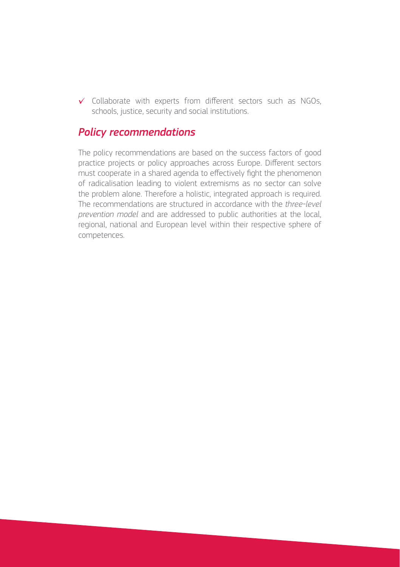$\checkmark$  Collaborate with experts from different sectors such as NGOs, schools, justice, security and social institutions.

### *Policy recommendations*

The policy recommendations are based on the success factors of good practice projects or policy approaches across Europe. Different sectors must cooperate in a shared agenda to effectively fight the phenomenon of radicalisation leading to violent extremisms as no sector can solve the problem alone. Therefore a holistic, integrated approach is required. The recommendations are structured in accordance with the *three-level prevention model* and are addressed to public authorities at the local, regional, national and European level within their respective sphere of competences.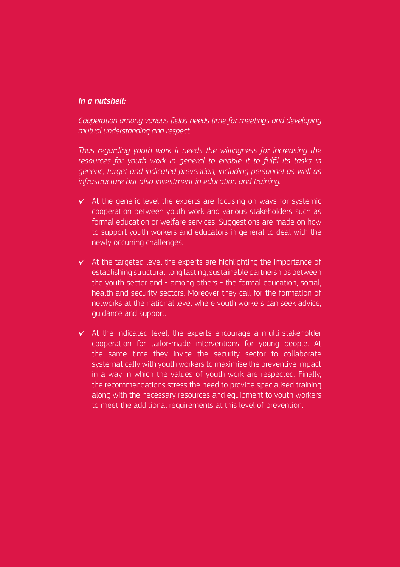#### *In a nutshell:*

*Cooperation among various fields needs time for meetings and developing mutual understanding and respect.*

*Thus regarding youth work it needs the willingness for increasing the*  resources for youth work in general to enable it to fulfil its tasks in *generic, target and indicated prevention, including personnel as well as infrastructure but also investment in education and training.* 

- $\checkmark$  At the generic level the experts are focusing on ways for systemic cooperation between youth work and various stakeholders such as formal education or welfare services. Suggestions are made on how to support youth workers and educators in general to deal with the newly occurring challenges.
- $\checkmark$  At the targeted level the experts are highlighting the importance of establishing structural, long lasting, sustainable partnerships between the youth sector and - among others - the formal education, social, health and security sectors. Moreover they call for the formation of networks at the national level where youth workers can seek advice, guidance and support.
- $\checkmark$  At the indicated level, the experts encourage a multi-stakeholder cooperation for tailor-made interventions for young people. At the same time they invite the security sector to collaborate systematically with youth workers to maximise the preventive impact in a way in which the values of youth work are respected. Finally, the recommendations stress the need to provide specialised training along with the necessary resources and equipment to youth workers to meet the additional requirements at this level of prevention.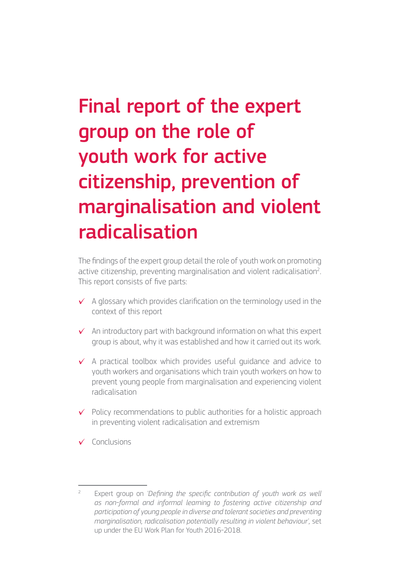# Final report of the expert group on the role of youth work for active citizenship, prevention of marginalisation and violent radicalisation

The findings of the expert group detail the role of youth work on promoting active citizenship, preventing marginalisation and violent radicalisation<sup>2</sup>. This report consists of five parts:

- $\checkmark$  A glossary which provides clarification on the terminology used in the context of this report
- $\checkmark$  An introductory part with background information on what this expert group is about, why it was established and how it carried out its work.
- ✓ A practical toolbox which provides useful guidance and advice to youth workers and organisations which train youth workers on how to prevent young people from marginalisation and experiencing violent radicalisation
- $\checkmark$  Policy recommendations to public authorities for a holistic approach in preventing violent radicalisation and extremism
- ✓ Conclusions

Expert group on *'Defining the specific contribution of youth work as well as non-formal and informal learning to fostering active citizenship and participation of young people in diverse and tolerant societies and preventing marginalisation, radicalisation potentially resulting in violent behaviour',* set up under the EU Work Plan for Youth 2016-2018.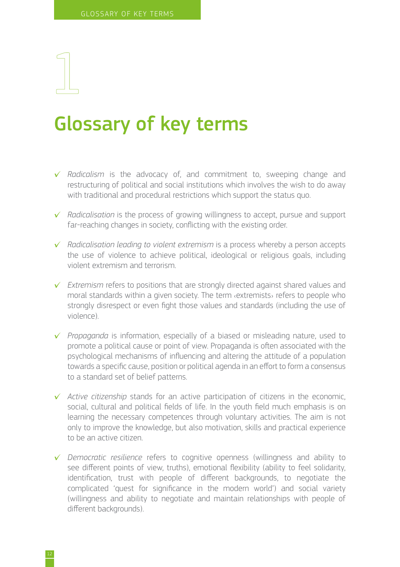## <span id="page-13-0"></span>Glossary of key terms

- ✓ *Radicalism* is the advocacy of, and commitment to, sweeping change and restructuring of political and social institutions which involves the wish to do away with traditional and procedural restrictions which support the status quo.
- ✓ *Radicalisation* is the process of growing willingness to accept, pursue and support far-reaching changes in society, conflicting with the existing order.
- ✓ *Radicalisation leading to violent extremism* is a process whereby a person accepts the use of violence to achieve political, ideological or religious goals, including violent extremism and terrorism.
- ✓ *Extremism* refers to positions that are strongly directed against shared values and moral standards within a given society. The term ‹extremists› refers to people who strongly disrespect or even fight those values and standards (including the use of violence).
- ✓ *Propaganda* is information, especially of a biased or misleading nature, used to promote a political cause or point of view. Propaganda is often associated with the psychological mechanisms of influencing and altering the attitude of a population towards a specific cause, position or political agenda in an effort to form a consensus to a standard set of belief patterns.
- ✓ *Active citizenship* stands for an active participation of citizens in the economic, social, cultural and political fields of life. In the youth field much emphasis is on learning the necessary competences through voluntary activities. The aim is not only to improve the knowledge, but also motivation, skills and practical experience to be an active citizen.
- ✓ *Democratic resilience* refers to cognitive openness (willingness and ability to see different points of view, truths), emotional flexibility (ability to feel solidarity, identification, trust with people of different backgrounds, to negotiate the complicated 'quest for significance in the modern world') and social variety (willingness and ability to negotiate and maintain relationships with people of different backgrounds).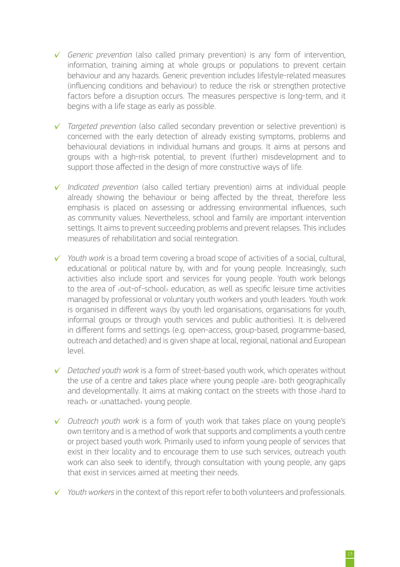- ✓ *Generic prevention* (also called primary prevention) is any form of intervention, information, training aiming at whole groups or populations to prevent certain behaviour and any hazards. Generic prevention includes lifestyle-related measures (influencing conditions and behaviour) to reduce the risk or strengthen protective factors before a disruption occurs. The measures perspective is long-term, and it begins with a life stage as early as possible.
- ✓ *Targeted prevention* (also called secondary prevention or selective prevention) is concerned with the early detection of already existing symptoms, problems and behavioural deviations in individual humans and groups. It aims at persons and groups with a high-risk potential, to prevent (further) misdevelopment and to support those affected in the design of more constructive ways of life.
- ✓ *Indicated prevention* (also called tertiary prevention) aims at individual people already showing the behaviour or being affected by the threat, therefore less emphasis is placed on assessing or addressing environmental influences, such as community values. Nevertheless, school and family are important intervention settings. It aims to prevent succeeding problems and prevent relapses. This includes measures of rehabilitation and social reintegration.
- ✓ *Youth work* is a broad term covering a broad scope of activities of a social, cultural, educational or political nature by, with and for young people. Increasingly, such activities also include sport and services for young people. Youth work belongs to the area of ‹out-of-school› education, as well as specific leisure time activities managed by professional or voluntary youth workers and youth leaders. Youth work is organised in different ways (by youth led organisations, organisations for youth, informal groups or through youth services and public authorities). It is delivered in different forms and settings (e.g. open-access, group-based, programme-based, outreach and detached) and is given shape at local, regional, national and European level.
- ✓ *Detached youth work* is a form of street-based youth work, which operates without the use of a centre and takes place where young people ‹are› both geographically and developmentally. It aims at making contact on the streets with those ‹hard to reach› or ‹unattached› young people.
- ✓ *Outreach youth work* is a form of youth work that takes place on young people's own territory and is a method of work that supports and compliments a youth centre or project based youth work. Primarily used to inform young people of services that exist in their locality and to encourage them to use such services, outreach youth work can also seek to identify, through consultation with young people, any gaps that exist in services aimed at meeting their needs.
- ✓ *Youth workers* in the context of this report refer to both volunteers and professionals.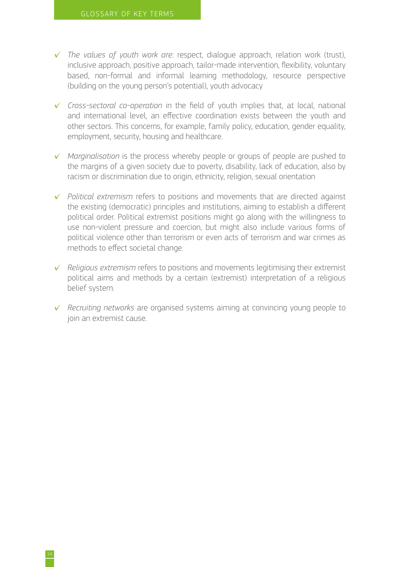- ✓ *The values of youth work are*: respect, dialogue approach, relation work (trust), inclusive approach, positive approach, tailor-made intervention, flexibility, voluntary based, non-formal and informal learning methodology, resource perspective (building on the young person's potential), youth advocacy
- ✓ *Cross-sectoral co-operation* in the field of youth implies that, at local, national and international level, an effective coordination exists between the youth and other sectors. This concerns, for example, family policy, education, gender equality, employment, security, housing and healthcare.
- ✓ *Marginalisation* is the process whereby people or groups of people are pushed to the margins of a given society due to poverty, disability, lack of education, also by racism or discrimination due to origin, ethnicity, religion, sexual orientation
- ✓ *Political extremism* refers to positions and movements that are directed against the existing (democratic) principles and institutions, aiming to establish a different political order. Political extremist positions might go along with the willingness to use non-violent pressure and coercion, but might also include various forms of political violence other than terrorism or even acts of terrorism and war crimes as methods to effect societal change.
- ✓ *Religious extremism* refers to positions and movements legitimising their extremist political aims and methods by a certain (extremist) interpretation of a religious belief system.
- ✓ *Recruiting networks* are organised systems aiming at convincing young people to join an extremist cause.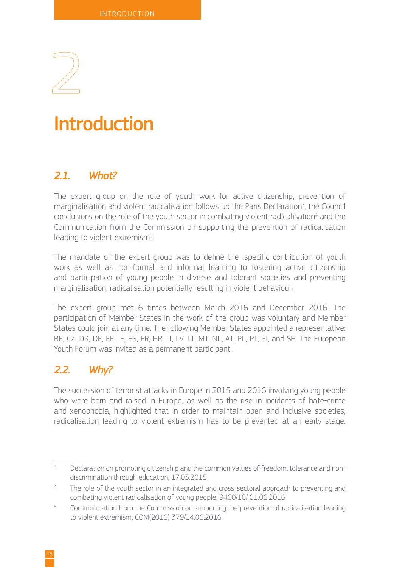<span id="page-17-0"></span>

## **Introduction**

### *2.1. What?*

The expert group on the role of youth work for active citizenship, prevention of marginalisation and violent radicalisation follows up the Paris Declaration<sup>3</sup>, the Council conclusions on the role of the youth sector in combating violent radicalisation<sup>4</sup> and the Communication from the Commission on supporting the prevention of radicalisation leading to violent extremism<sup>5</sup>. .

The mandate of the expert group was to define the ‹specific contribution of youth work as well as non-formal and informal learning to fostering active citizenship and participation of young people in diverse and tolerant societies and preventing marginalisation, radicalisation potentially resulting in violent behaviour›.

The expert group met 6 times between March 2016 and December 2016. The participation of Member States in the work of the group was voluntary and Member States could join at any time. The following Member States appointed a representative: BE, CZ, DK, DE, EE, IE, ES, FR, HR, IT, LV, LT, MT, NL, AT, PL, PT, SI, and SE. The European Youth Forum was invited as a permanent participant.

## *2.2. Why?*

The succession of terrorist attacks in Europe in 2015 and 2016 involving young people who were born and raised in Europe, as well as the rise in incidents of hate-crime and xenophobia, highlighted that in order to maintain open and inclusive societies, radicalisation leading to violent extremism has to be prevented at an early stage.

Declaration on promoting citizenship and the common values of freedom, tolerance and nondiscrimination through education, 17.03.2015

The role of the youth sector in an integrated and cross-sectoral approach to preventing and combating violent radicalisation of young people, 9460/16/ 01.06.2016

<sup>5</sup> Communication from the Commission on supporting the prevention of radicalisation leading to violent extremism, COM(2016) 379/14.06.2016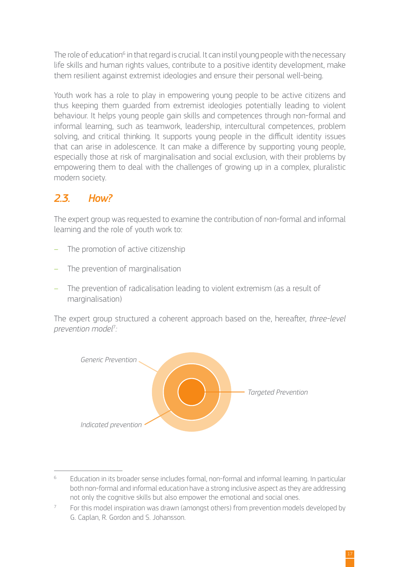<span id="page-18-0"></span>The role of education<sup>6</sup> in that regard is crucial. It can instil young people with the necessary life skills and human rights values, contribute to a positive identity development, make them resilient against extremist ideologies and ensure their personal well-being.

Youth work has a role to play in empowering young people to be active citizens and thus keeping them guarded from extremist ideologies potentially leading to violent behaviour. It helps young people gain skills and competences through non-formal and informal learning, such as teamwork, leadership, intercultural competences, problem solving, and critical thinking. It supports young people in the difficult identity issues that can arise in adolescence. It can make a difference by supporting young people, especially those at risk of marginalisation and social exclusion, with their problems by empowering them to deal with the challenges of growing up in a complex, pluralistic modern society.

## *2.3. How?*

The expert group was requested to examine the contribution of non-formal and informal learning and the role of youth work to:

- The promotion of active citizenship
- The prevention of marginalisation
- The prevention of radicalisation leading to violent extremism (as a result of marginalisation)

The expert group structured a coherent approach based on the, hereafter, *three-level prevention model*<sup>7</sup> *:*



<sup>6</sup> Education in its broader sense includes formal, non-formal and informal learning. In particular both non-formal and informal education have a strong inclusive aspect as they are addressing not only the cognitive skills but also empower the emotional and social ones.

<sup>7</sup> For this model inspiration was drawn (amongst others) from prevention models developed by G. Caplan, R. Gordon and S. Johansson.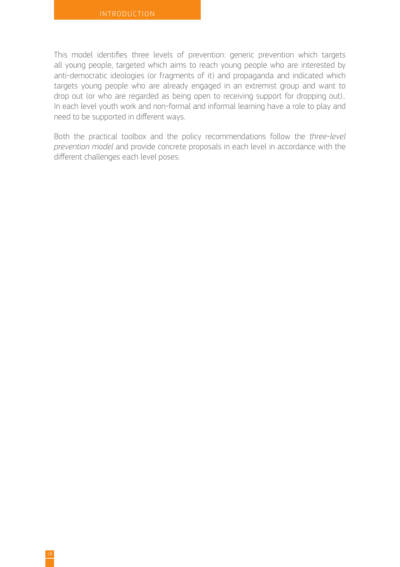This model identifies three levels of prevention: generic prevention which targets all young people, targeted which aims to reach young people who are interested by anti-democratic ideologies (or fragments of it) and propaganda and indicated which targets young people who are already engaged in an extremist group and want to drop out (or who are regarded as being open to receiving support for dropping out).. In each level youth work and non-formal and informal learning have a role to play and need to be supported in different ways.

Both the practical toolbox and the policy recommendations follow the *three-level prevention model* and provide concrete proposals in each level in accordance with the different challenges each level poses.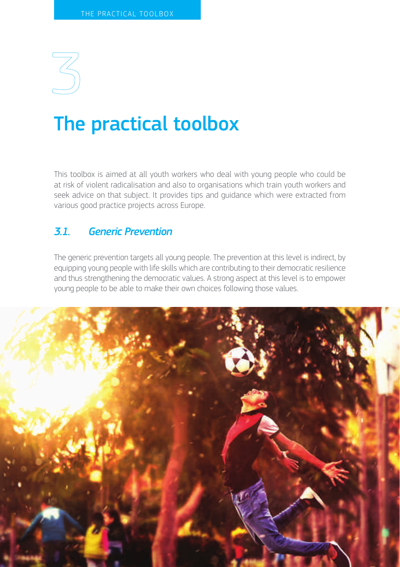<span id="page-21-0"></span>

## The practical toolbox

This toolbox is aimed at all youth workers who deal with young people who could be at risk of violent radicalisation and also to organisations which train youth workers and seek advice on that subject. It provides tips and guidance which were extracted from various good practice projects across Europe.

## *3.1. Generic Prevention*

The generic prevention targets all young people. The prevention at this level is indirect, by equipping young people with life skills which are contributing to their democratic resilience and thus strengthening the democratic values. A strong aspect at this level is to empower young people to be able to make their own choices following those values.

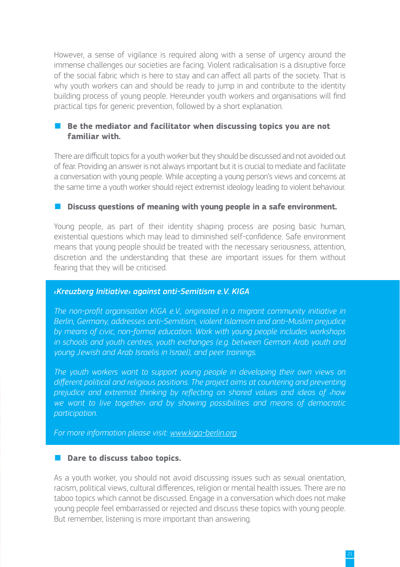However, a sense of vigilance is required along with a sense of urgency around the immense challenges our societies are facing. Violent radicalisation is a disruptive force of the social fabric which is here to stay and can affect all parts of the society. That is why youth workers can and should be ready to jump in and contribute to the identity building process of young people. Hereunder youth workers and organisations will find practical tips for generic prevention, followed by a short explanation.

#### Be the mediator and facilitator when discussing topics you are not **familiar with.**

There are difficult topics for a youth worker but they should be discussed and not avoided out of fear. Providing an answer is not always important but it is crucial to mediate and facilitate a conversation with young people. While accepting a young person's views and concerns at the same time a youth worker should reject extremist ideology leading to violent behaviour.

#### ■ **Discuss questions of meaning with young people in a safe environment.**

Young people, as part of their identity shaping process are posing basic human, existential questions which may lead to diminished self-confidence. Safe environment means that young people should be treated with the necessary seriousness, attention, discretion and the understanding that these are important issues for them without fearing that they will be criticised.

#### *‹Kreuzberg Initiative› against anti-Semitism e.V. KIGA*

*The non-profit organisation KIGA e.V., originated in a migrant community initiative in Berlin, Germany, addresses anti-Semitism, violent Islamism and anti-Muslim prejudice by means of civic, non-formal education. Work with young people includes workshops in schools and youth centres, youth exchanges (e.g. between German Arab youth and young Jewish and Arab Israelis in Israel), and peer trainings.* 

*The youth workers want to support young people in developing their own views on different political and religious positions. The project aims at countering and preventing prejudice and extremist thinking by reflecting on shared values and ideas of ‹how we want to live together› and by showing possibilities and means of democratic participation.*

*For more information please visit: [www.kiga-berlin.org](http://www.kiga-berlin.org)*

#### ■ **Dare to discuss taboo topics.**

As a youth worker, you should not avoid discussing issues such as sexual orientation, racism, political views, cultural differences, religion or mental health issues. There are no taboo topics which cannot be discussed. Engage in a conversation which does not make young people feel embarrassed or rejected and discuss these topics with young people. But remember, listening is more important than answering.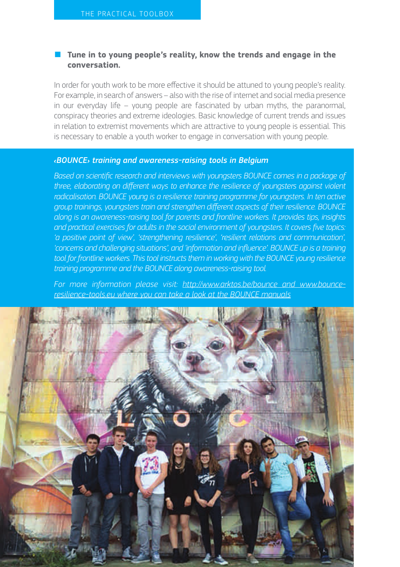#### ■ Tune in to young people's reality, know the trends and engage in the **conversation.**

In order for youth work to be more effective it should be attuned to young people's reality. For example, in search of answers – also with the rise of internet and social media presence in our everyday life – young people are fascinated by urban myths, the paranormal, conspiracy theories and extreme ideologies. Basic knowledge of current trends and issues in relation to extremist movements which are attractive to young people is essential. This is necessary to enable a youth worker to engage in conversation with young people.

#### *‹BOUNCE› training and awareness-raising tools in Belgium*

*Based on scientific research and interviews with youngsters BOUNCE comes in a package of three, elaborating on different ways to enhance the resilience of youngsters against violent radicalisation. BOUNCE young is a resilience training programme for youngsters. In ten active group trainings, youngsters train and strengthen different aspects of their resilience. BOUNCE along is an awareness-raising tool for parents and frontline workers. It provides tips, insights and practical exercises for adults in the social environment of youngsters. It covers five topics: 'a positive point of view', 'strengthening resilience', 'resilient relations and communication', 'concerns and challenging situations', and 'information and influence'. BOUNCE up is a training tool for frontline workers. This tool instructs them in working with the BOUNCE young resilience training programme and the BOUNCE along awareness-raising tool.*

*For more information please visit: <http://www.arktos.be/bounce> and [www.bounce](http://www.bounce-resilience-tools.eu)[resilience-tools.eu](http://www.bounce-resilience-tools.eu) where you can take a look at the BOUNCE manuals*

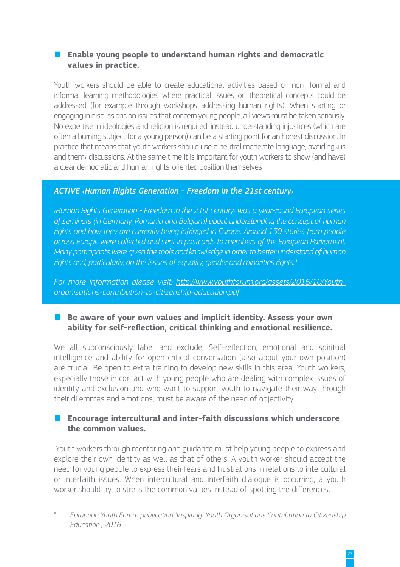#### ■ **Enable young people to understand human rights and democratic values in practice.**

Youth workers should be able to create educational activities based on non- formal and informal learning methodologies where practical issues on theoretical concepts could be addressed (for example through workshops addressing human rights). When starting or engaging in discussions on issues that concern young people, all views must be taken seriously. No expertise in ideologies and religion is required; instead understanding injustices (which are often a burning subject for a young person) can be a starting point for an honest discussion. In practice that means that youth workers should use a neutral moderate language, avoiding ‹us and them› discussions. At the same time it is important for youth workers to show (and have) a clear democratic and human-rights-oriented position themselves

#### *ACTIVE ‹Human Rights Generation - Freedom in the 21st century›*

*‹Human Rights Generation - Freedom in the 21st century› was a year-round European series of seminars (in Germany, Romania and Belgium) about understanding the concept of human rights and how they are currently being infringed in Europe. Around 130 stories from people across Europe were collected and sent in postcards to members of the European Parliament. Many participants were given the tools and knowledge in order to better understand of human rights and, particularly, on the issues of equality, gender and minorities rights.<sup>8</sup>*

*For more information please visit: [http://www.youthforum.org/assets/2016/10/Youth](http://www.youthforum.org/assets/2016/10/Youth-organisations-contribution-to-citizenship-education.pdf)[organisations-contribution-to-citizenship-education.pdf](http://www.youthforum.org/assets/2016/10/Youth-organisations-contribution-to-citizenship-education.pdf)*

### ■ Be aware of your own values and implicit identity. Assess your own **ability for self-reflection, critical thinking and emotional resilience.**

We all subconsciously label and exclude. Self-reflection, emotional and spiritual intelligence and ability for open critical conversation (also about your own position) are crucial. Be open to extra training to develop new skills in this area. Youth workers, especially those in contact with young people who are dealing with complex issues of identity and exclusion and who want to support youth to navigate their way through their dilemmas and emotions, must be aware of the need of objectivity.

#### ■ **Encourage intercultural and inter-faith discussions which underscore the common values.**

 Youth workers through mentoring and guidance must help young people to express and explore their own identity as well as that of others. A youth worker should accept the need for young people to express their fears and frustrations in relations to intercultural or interfaith issues. When intercultural and interfaith dialogue is occurring, a youth worker should try to stress the common values instead of spotting the differences.

<sup>8</sup> *European Youth Forum publication 'Inspiring! Youth Organisations Contribution to Citizenship Education', 2016*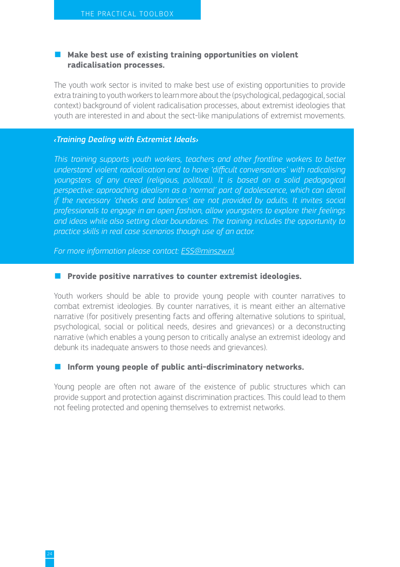#### ■ Make best use of existing training opportunities on violent **radicalisation processes.**

The youth work sector is invited to make best use of existing opportunities to provide extra training to youth workers to learn more about the (psychological, pedagogical, social context) background of violent radicalisation processes, about extremist ideologies that youth are interested in and about the sect-like manipulations of extremist movements.

#### *‹Training Dealing with Extremist Ideals›*

*This training supports youth workers, teachers and other frontline workers to better understand violent radicalisation and to have 'difficult conversations' with radicalising youngsters of any creed (religious, political). It is based on a solid pedagogical perspective: approaching idealism as a 'normal' part of adolescence, which can derail if the necessary 'checks and balances' are not provided by adults. It invites social professionals to engage in an open fashion, allow youngsters to explore their feelings and ideas while also setting clear boundaries. The training includes the opportunity to practice skills in real case scenarios though use of an actor.* 

*For more information please contact: [ESS@minszw.nl.](mailto:ESS@minszw.nl.)*

#### ■ **Provide positive narratives to counter extremist ideologies.**

Youth workers should be able to provide young people with counter narratives to combat extremist ideologies. By counter narratives, it is meant either an alternative narrative (for positively presenting facts and offering alternative solutions to spiritual, psychological, social or political needs, desires and grievances) or a deconstructing narrative (which enables a young person to critically analyse an extremist ideology and debunk its inadequate answers to those needs and grievances).

#### ■ **Inform young people of public anti-discriminatory networks.**

Young people are often not aware of the existence of public structures which can provide support and protection against discrimination practices. This could lead to them not feeling protected and opening themselves to extremist networks.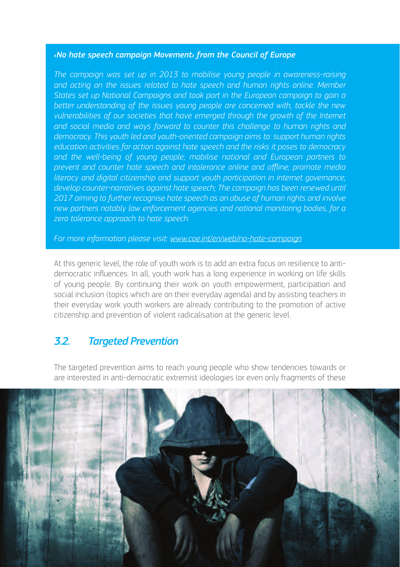#### <span id="page-26-0"></span>*‹No hate speech campaign Movement› from the Council of Europe*

*The campaign was set up in 2013 to mobilise young people in awareness-raising and acting on the issues related to hate speech and human rights online. Member States set up National Campaigns and took part in the European campaign to gain a better understanding of the issues young people are concerned with, tackle the new vulnerabilities of our societies that have emerged through the growth of the Internet and social media and ways forward to counter this challenge to human rights and democracy. This youth led and youth-oriented campaign aims to: support human rights education activities for action against hate speech and the risks it poses to democracy*  and the well-being of young people; mobilise national and European partners to *prevent and counter hate speech and intolerance online and offline; promote media literacy and digital citizenship and support youth participation in internet governance; develop counter-narratives against hate speech; The campaign has been renewed until 2017 aiming to further recognise hate speech as an abuse of human rights and involve new partners notably law enforcement agencies and national monitoring bodies, for a zero tolerance approach to hate speech.* 

*For more information please visit: [www.coe.int/en/web/no-hate-campaign](http://www.coe.int/en/web/no-hate-campaign)*

At this generic level, the role of youth work is to add an extra focus on resilience to antidemocratic influences. In all, youth work has a long experience in working on life skills of young people. By continuing their work on youth empowerment, participation and social inclusion (topics which are on their everyday agenda) and by assisting teachers in their everyday work youth workers are already contributing to the promotion of active citizenship and prevention of violent radicalisation at the generic level.

### *3.2. Targeted Prevention*

The targeted prevention aims to reach young people who show tendencies towards or are interested in anti-democratic extremist ideologies (or even only fragments of these

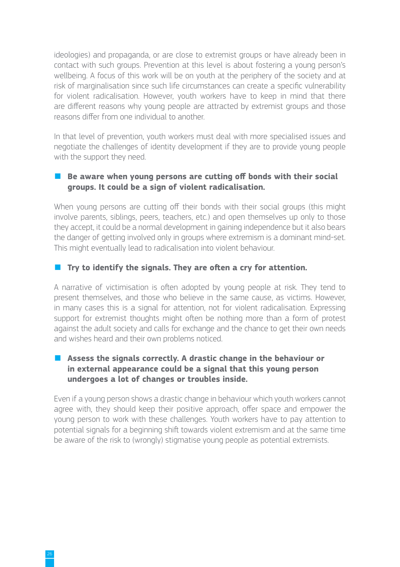ideologies) and propaganda, or are close to extremist groups or have already been in contact with such groups. Prevention at this level is about fostering a young person's wellbeing. A focus of this work will be on youth at the periphery of the society and at risk of marginalisation since such life circumstances can create a specific vulnerability for violent radicalisation. However, youth workers have to keep in mind that there are different reasons why young people are attracted by extremist groups and those reasons differ from one individual to another.

In that level of prevention, youth workers must deal with more specialised issues and negotiate the challenges of identity development if they are to provide young people with the support they need.

#### ■ Be aware when young persons are cutting off bonds with their social **groups. It could be a sign of violent radicalisation.**

When young persons are cutting off their bonds with their social groups (this might involve parents, siblings, peers, teachers, etc.) and open themselves up only to those they accept, it could be a normal development in gaining independence but it also bears the danger of getting involved only in groups where extremism is a dominant mind-set. This might eventually lead to radicalisation into violent behaviour.

### ■ **Try to identify the signals. They are often a cry for attention.**

A narrative of victimisation is often adopted by young people at risk. They tend to present themselves, and those who believe in the same cause, as victims. However, in many cases this is a signal for attention, not for violent radicalisation. Expressing support for extremist thoughts might often be nothing more than a form of protest against the adult society and calls for exchange and the chance to get their own needs and wishes heard and their own problems noticed.

#### ■ Assess the signals correctly. A drastic change in the behaviour or **in external appearance could be a signal that this young person undergoes a lot of changes or troubles inside.**

Even if a young person shows a drastic change in behaviour which youth workers cannot agree with, they should keep their positive approach, offer space and empower the young person to work with these challenges. Youth workers have to pay attention to potential signals for a beginning shift towards violent extremism and at the same time be aware of the risk to (wrongly) stigmatise young people as potential extremists.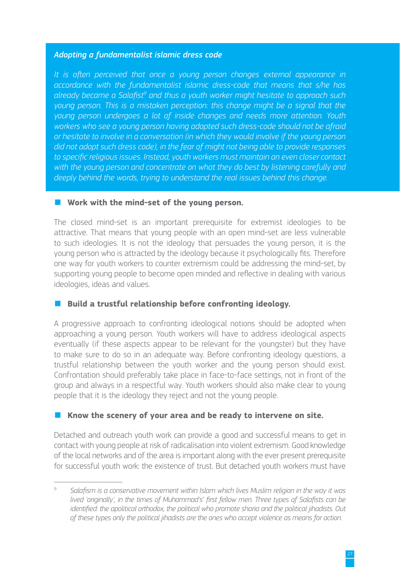#### *Adopting a fundamentalist islamic dress code*

*It is often perceived that once a young person changes external appearance in accordance with the fundamentalist islamic dress-code that means that s/he has*  already became a Salafist<sup>9</sup> and thus a youth worker might hesitate to approach such *young person. This is a mistaken perception: this change might be a signal that the young person undergoes a lot of inside changes and needs more attention. Youth workers who see a young person having adopted such dress-code should not be afraid or hesitate to involve in a conversation (in which they would involve if the young person did not adopt such dress code), in the fear of might not being able to provide responses to specific religious issues. Instead, youth workers must maintain an even closer contact*  with the young person and concentrate on what they do best by listening carefully and *deeply behind the words, trying to understand the real issues behind this change.*

#### ■ Work with the mind-set of the young person.

The closed mind-set is an important prerequisite for extremist ideologies to be attractive. That means that young people with an open mind-set are less vulnerable to such ideologies. It is not the ideology that persuades the young person, it is the young person who is attracted by the ideology because it psychologically fits. Therefore one way for youth workers to counter extremism could be addressing the mind-set, by supporting young people to become open minded and reflective in dealing with various ideologies, ideas and values.

#### **Build a trustful relationship before confronting ideology.**

A progressive approach to confronting ideological notions should be adopted when approaching a young person. Youth workers will have to address ideological aspects eventually (if these aspects appear to be relevant for the youngster) but they have to make sure to do so in an adequate way. Before confronting ideology questions, a trustful relationship between the youth worker and the young person should exist. Confrontation should preferably take place in face-to-face settings, not in front of the group and always in a respectful way. Youth workers should also make clear to young people that it is the ideology they reject and not the young people.

#### ■ Know the scenery of your area and be ready to intervene on site.

Detached and outreach youth work can provide a good and successful means to get in contact with young people at risk of radicalisation into violent extremism. Good knowledge of the local networks and of the area is important along with the ever present prerequisite for successful youth work: the existence of trust. But detached youth workers must have

<sup>9</sup> *Salafism is a conservative movement within Islam which lives Muslim religion in the way it was lived 'originally', in the times of Muhammad's' first fellow men. Three types of Salafists can be identified: the apolitical orthodox, the political who promote sharia and the political jihadists. Out of these types only the political jihadists are the ones who accept violence as means for action*.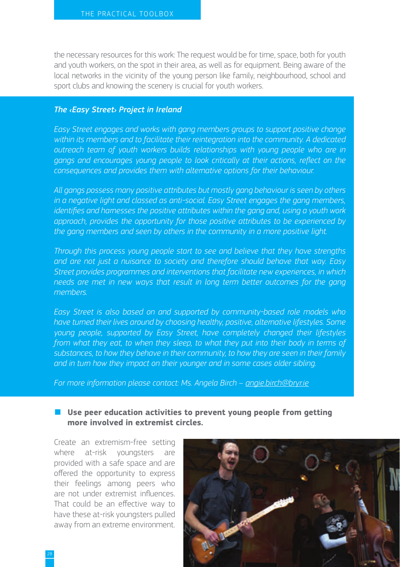the necessary resources for this work: The request would be for time, space, both for youth and youth workers, on the spot in their area, as well as for equipment. Being aware of the local networks in the vicinity of the young person like family, neighbourhood, school and sport clubs and knowing the scenery is crucial for youth workers.

#### *The ‹Easy Street› Project in Ireland*

*Easy Street engages and works with gang members groups to support positive change within its members and to facilitate their reintegration into the community. A dedicated outreach team of youth workers builds relationships with young people who are in gangs and encourages young people to look critically at their actions, reflect on the consequences and provides them with alternative options for their behaviour.*

*All gangs possess many positive attributes but mostly gang behaviour is seen by others in a negative light and classed as anti-social. Easy Street engages the gang members, identifies and harnesses the positive attributes within the gang and, using a youth work approach, provides the opportunity for those positive attributes to be experienced by the gang members and seen by others in the community in a more positive light.*

*Through this process young people start to see and believe that they have strengths and are not just a nuisance to society and therefore should behave that way. Easy Street provides programmes and interventions that facilitate new experiences, in which needs are met in new ways that result in long term better outcomes for the gang members.*

*Easy Street is also based on and supported by community-based role models who have turned their lives around by choosing healthy, positive, alternative lifestyles. Some young people, supported by Easy Street, have completely changed their lifestyles from what they eat, to when they sleep, to what they put into their body in terms of substances, to how they behave in their community, to how they are seen in their family and in turn how they impact on their younger and in some cases older sibling.*

*For more information please contact: Ms. Angela Birch – [angie.birch@bryr.ie](mailto:angie.birch@bryr.ie)*

#### ■ Use peer education activities to prevent voung people from getting **more involved in extremist circles.**

Create an extremism-free setting where at-risk youngsters are provided with a safe space and are offered the opportunity to express their feelings among peers who are not under extremist influences. That could be an effective way to have these at-risk youngsters pulled away from an extreme environment.

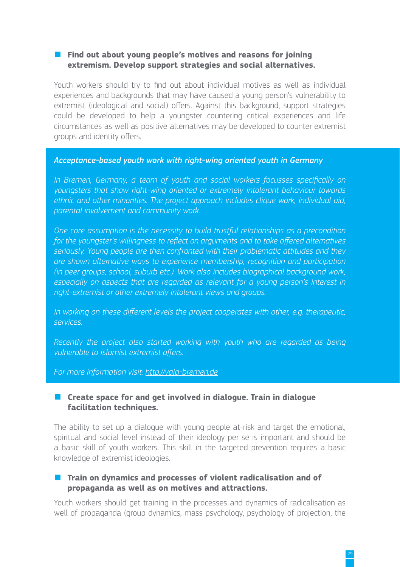#### ■ **Find out about young people's motives and reasons for joining extremism. Develop support strategies and social alternatives.**

Youth workers should try to find out about individual motives as well as individual experiences and backgrounds that may have caused a young person's vulnerability to extremist (ideological and social) offers. Against this background, support strategies could be developed to help a youngster countering critical experiences and life circumstances as well as positive alternatives may be developed to counter extremist groups and identity offers.

#### *Acceptance-based youth work with right-wing oriented youth in Germany*

In Bremen, Germany, a team of youth and social workers focusses specifically on *youngsters that show right-wing oriented or extremely intolerant behaviour towards ethnic and other minorities. The project approach includes clique work, individual aid, parental involvement and community work.* 

*One core assumption is the necessity to build trustful relationships as a precondition for the youngster's willingness to reflect on arguments and to take offered alternatives seriously. Young people are then confronted with their problematic attitudes and they are shown alternative ways to experience membership, recognition and participation (in peer groups, school, suburb etc.). Work also includes biographical background work, especially on aspects that are regarded as relevant for a young person's interest in right-extremist or other extremely intolerant views and groups.* 

*In working on these different levels the project cooperates with other, e.g. therapeutic, services.*

*Recently the project also started working with youth who are regarded as being vulnerable to islamist extremist offers.* 

*For more information visit: <http://vaja-bremen.de>*

#### ■ **Create space for and get involved in dialogue. Train in dialogue facilitation techniques.**

The ability to set up a dialogue with young people at-risk and target the emotional, spiritual and social level instead of their ideology per se is important and should be a basic skill of youth workers. This skill in the targeted prevention requires a basic knowledge of extremist ideologies.

#### ■ **Train on dynamics and processes of violent radicalisation and of propaganda as well as on motives and attractions.**

Youth workers should get training in the processes and dynamics of radicalisation as well of propaganda (group dynamics, mass psychology, psychology of projection, the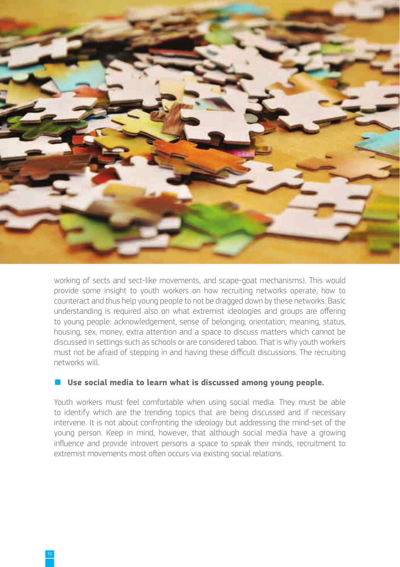

working of sects and sect-like movements, and scape-goat mechanisms). This would provide some insight to youth workers on how recruiting networks operate, how to counteract and thus help young people to not be dragged down by these networks. Basic understanding is required also on what extremist ideologies and groups are offering to young people: acknowledgement, sense of belonging, orientation, meaning, status, housing, sex, money, extra attention and a space to discuss matters which cannot be discussed in settings such as schools or are considered taboo. That is why youth workers must not be afraid of stepping in and having these difficult discussions. The recruiting networks will.

#### Use social media to learn what is discussed among young people.

Youth workers must feel comfortable when using social media. They must be able to identify which are the trending topics that are being discussed and if necessary intervene. It is not about confronting the ideology but addressing the mind-set of the young person. Keep in mind, however, that although social media have a growing influence and provide introvert persons a space to speak their minds, recruitment to extremist movements most often occurs via existing social relations.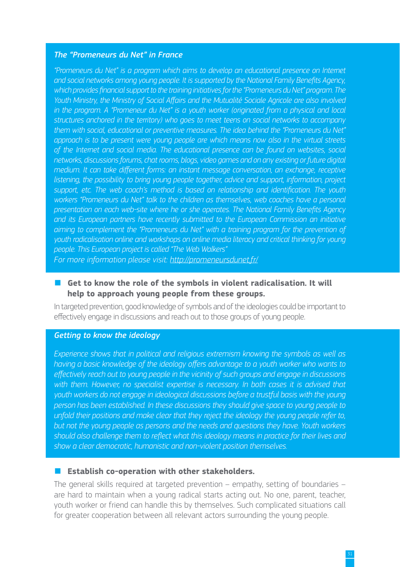#### *The "Promeneurs du Net" in France*

*"Promeneurs du Net" is a program which aims to develop an educational presence on Internet and social networks among young people. It is supported by the National Family Benefits Agency, which provides financial support to the training initiatives for the "Promeneurs du Net" program. The Youth Ministry, the Ministry of Social Affairs and the Mutualité Sociale Agricole are also involved in the program. A "Promeneur du Net" is a youth worker (originated from a physical and local structures anchored in the territory) who goes to meet teens on social networks to accompany them with social, educational or preventive measures. The idea behind the "Promeneurs du Net" approach is to be present were young people are which means now also in the virtual streets of the Internet and social media. The educational presence can be found on websites, social networks, discussions forums, chat rooms, blogs, video games and on any existing or future digital medium. It can take different forms: an instant message conversation, an exchange, receptive listening, the possibility to bring young people together, advice and support, information, project support, etc. The web coach's method is based on relationship and identification. The youth*  workers "Promeneurs du Net" talk to the children as themselves, web coaches have a personal *presentation on each web-site where he or she operates. The National Family Benefits Agency and its European partners have recently submitted to the European Commission an initiative aiming to complement the "Promeneurs du Net" with a training program for the prevention of youth radicalisation online and workshops on online media literacy and critical thinking for young people. This European project is called "The Web Walkers"* 

*For more information please visit:<http://promeneursdunet.fr/>*

#### ■ Get to know the role of the symbols in violent radicalisation. It will **help to approach young people from these groups.**

In targeted prevention, good knowledge of symbols and of the ideologies could be important to effectively engage in discussions and reach out to those groups of young people.

#### *Getting to know the ideology*

*Experience shows that in political and religious extremism knowing the symbols as well as having a basic knowledge of the ideology offers advantage to a youth worker who wants to effectively reach out to young people in the vicinity of such groups and engage in discussions*  with them. However, no specialist expertise is necessary. In both cases it is advised that *youth workers do not engage in ideological discussions before a trustful basis with the young person has been established. In these discussions they should give space to young people to unfold their positions and make clear that they reject the ideology the young people refer to, but not the young people as persons and the needs and questions they have. Youth workers should also challenge them to reflect what this ideology means in practice for their lives and show a clear democratic, humanistic and non-violent position themselves.*

#### ■ **Establish co-operation with other stakeholders.**

The general skills required at targeted prevention – empathy, setting of boundaries – are hard to maintain when a young radical starts acting out. No one, parent, teacher, youth worker or friend can handle this by themselves. Such complicated situations call for greater cooperation between all relevant actors surrounding the young people.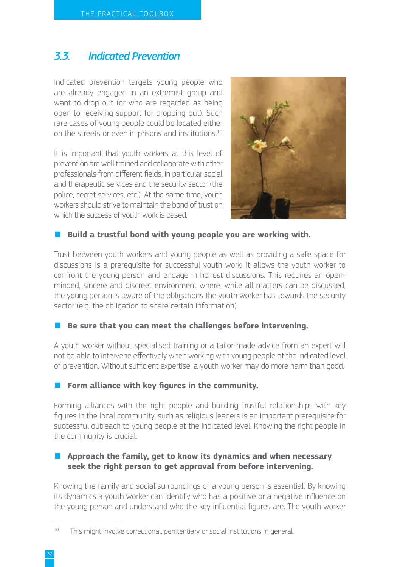### <span id="page-33-0"></span>*3.3. Indicated Prevention*

Indicated prevention targets young people who are already engaged in an extremist group and want to drop out (or who are regarded as being open to receiving support for dropping out). Such rare cases of young people could be located either on the streets or even in prisons and institutions.<sup>10</sup>

It is important that youth workers at this level of prevention are well trained and collaborate with other professionals from different fields, in particular social and therapeutic services and the security sector (the police, secret services, etc.). At the same time, youth workers should strive to maintain the bond of trust on which the success of youth work is based.



#### ■ **Build a trustful bond with young people you are working with.**

Trust between youth workers and young people as well as providing a safe space for discussions is a prerequisite for successful youth work. It allows the youth worker to confront the young person and engage in honest discussions. This requires an openminded, sincere and discreet environment where, while all matters can be discussed, the young person is aware of the obligations the youth worker has towards the security sector (e.g. the obligation to share certain information).

#### **Be sure that you can meet the challenges before intervening.**

A youth worker without specialised training or a tailor-made advice from an expert will not be able to intervene effectively when working with young people at the indicated level of prevention. Without sufficient expertise, a youth worker may do more harm than good.

#### ■ **Form alliance with key figures in the community.**

Forming alliances with the right people and building trustful relationships with key figures in the local community, such as religious leaders is an important prerequisite for successful outreach to young people at the indicated level. Knowing the right people in the community is crucial.

#### ■ **Approach the family, get to know its dynamics and when necessary seek the right person to get approval from before intervening.**

Knowing the family and social surroundings of a young person is essential. By knowing its dynamics a youth worker can identify who has a positive or a negative influence on the young person and understand who the key influential figures are. The youth worker

<sup>&</sup>lt;sup>10</sup> This might involve correctional, penitentiary or social institutions in general.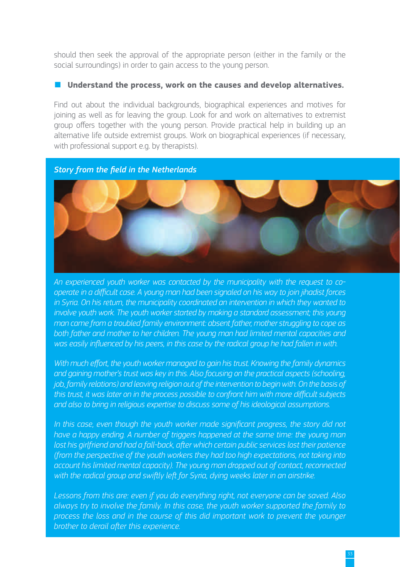should then seek the approval of the appropriate person (either in the family or the social surroundings) in order to gain access to the young person.

#### Understand the process, work on the causes and develop alternatives.

Find out about the individual backgrounds, biographical experiences and motives for joining as well as for leaving the group. Look for and work on alternatives to extremist group offers together with the young person. Provide practical help in building up an alternative life outside extremist groups. Work on biographical experiences (if necessary, with professional support e.g. by therapists).





*An experienced youth worker was contacted by the municipality with the request to cooperate in a difficult case. A young man had been signaled on his way to join jihadist forces in Syria. On his return, the municipality coordinated an intervention in which they wanted to involve youth work. The youth worker started by making a standard assessment; this young man came from a troubled family environment: absent father, mother struggling to cope as both father and mother to her children. The young man had limited mental capacities and was easily influenced by his peers, in this case by the radical group he had fallen in with.* 

*With much effort, the youth worker managed to gain his trust. Knowing the family dynamics and gaining mother's trust was key in this. Also focusing on the practical aspects (schooling, job, family relations) and leaving religion out of the intervention to begin with. On the basis of this trust, it was later on in the process possible to confront him with more difficult subjects and also to bring in religious expertise to discuss some of his ideological assumptions.* 

In this case, even though the youth worker made significant progress, the story did not *have a happy ending. A number of triggers happened at the same time: the young man*  lost his girlfriend and had a fall-back, after which certain public services lost their patience *(from the perspective of the youth workers they had too high expectations, not taking into account his limited mental capacity). The young man dropped out of contact, reconnected*  with the radical group and swiftly left for Syria, dying weeks later in an airstrike.

*Lessons from this are: even if you do everything right, not everyone can be saved. Also always try to involve the family. In this case, the youth worker supported the family to process the loss and in the course of this did important work to prevent the younger brother to derail after this experience.*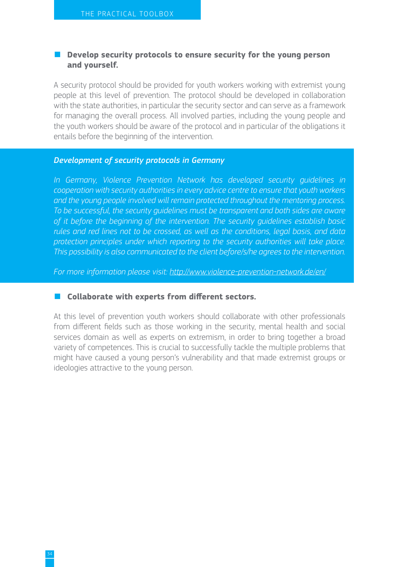#### ■ Develop security protocols to ensure security for the young person **and yourself.**

A security protocol should be provided for youth workers working with extremist young people at this level of prevention. The protocol should be developed in collaboration with the state authorities, in particular the security sector and can serve as a framework for managing the overall process. All involved parties, including the young people and the youth workers should be aware of the protocol and in particular of the obligations it entails before the beginning of the intervention.

#### *Development of security protocols in Germany*

In Germany, Violence Prevention Network has developed security quidelines in *cooperation with security authorities in every advice centre to ensure that youth workers and the young people involved will remain protected throughout the mentoring process. To be successful, the security guidelines must be transparent and both sides are aware of it before the beginning of the intervention. The security guidelines establish basic rules and red lines not to be crossed, as well as the conditions, legal basis, and data protection principles under which reporting to the security authorities will take place. This possibility is also communicated to the client before/s/he agrees to the intervention.*

*For more information please visit:<http://www.violence-prevention-network.de/en/>*

#### ■ **Collaborate with experts from different sectors.**

At this level of prevention youth workers should collaborate with other professionals from different fields such as those working in the security, mental health and social services domain as well as experts on extremism, in order to bring together a broad variety of competences. This is crucial to successfully tackle the multiple problems that might have caused a young person's vulnerability and that made extremist groups or ideologies attractive to the young person.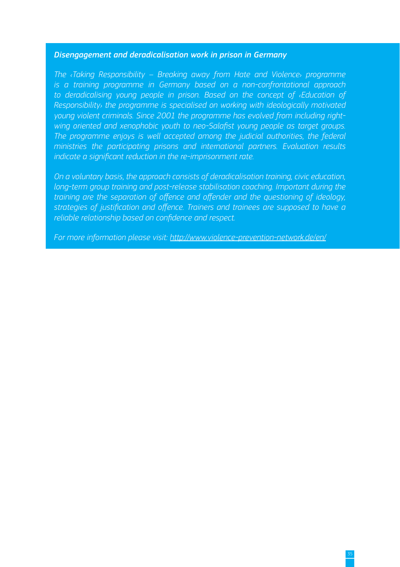#### *Disengagement and deradicalisation work in prison in Germany*

*The ‹Taking Responsibility – Breaking away from Hate and Violence› programme is a training programme in Germany based on a non-confrontational approach to deradicalising young people in prison. Based on the concept of ‹Education of Responsibility› the programme is specialised on working with ideologically motivated young violent criminals. Since 2001 the programme has evolved from including rightwing oriented and xenophobic youth to neo-Salafist young people as target groups. The programme enjoys is well accepted among the judicial authorities, the federal ministries the participating prisons and international partners. Evaluation results indicate a significant reduction in the re-imprisonment rate.* 

*On a voluntary basis, the approach consists of deradicalisation training, civic education, long-term group training and post-release stabilisation coaching. Important during the training are the separation of offence and offender and the questioning of ideology, strategies of justification and offence. Trainers and trainees are supposed to have a reliable relationship based on confidence and respect.*

*For more information please visit:<http://www.violence-prevention-network.de/en/>*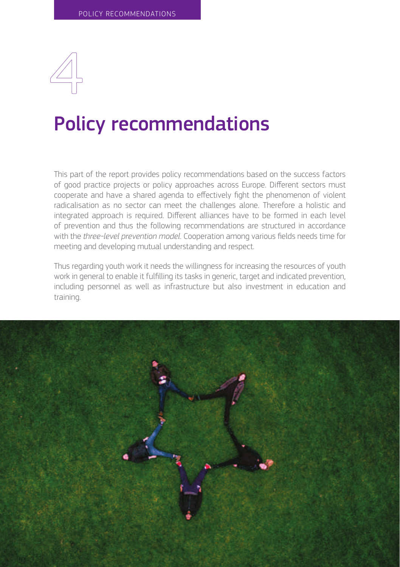<span id="page-37-0"></span>

## Policy recommendations

This part of the report provides policy recommendations based on the success factors of good practice projects or policy approaches across Europe. Different sectors must cooperate and have a shared agenda to effectively fight the phenomenon of violent radicalisation as no sector can meet the challenges alone. Therefore a holistic and integrated approach is required. Different alliances have to be formed in each level of prevention and thus the following recommendations are structured in accordance with the *three-level prevention model*. Cooperation among various fields needs time for meeting and developing mutual understanding and respect.

Thus regarding youth work it needs the willingness for increasing the resources of youth work in general to enable it fulfilling its tasks in generic, target and indicated prevention, including personnel as well as infrastructure but also investment in education and training.

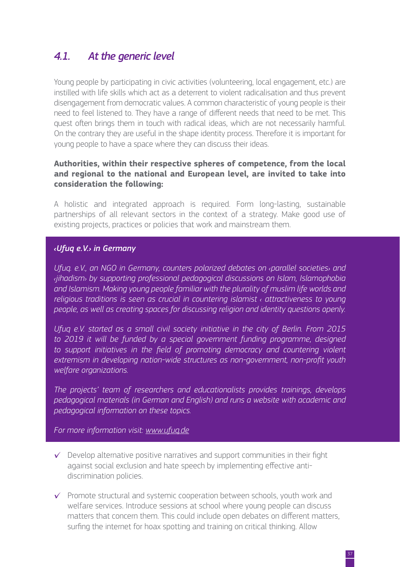## <span id="page-38-0"></span>*4.1. At the generic level*

Young people by participating in civic activities (volunteering, local engagement, etc.) are instilled with life skills which act as a deterrent to violent radicalisation and thus prevent disengagement from democratic values. A common characteristic of young people is their need to feel listened to. They have a range of different needs that need to be met. This quest often brings them in touch with radical ideas, which are not necessarily harmful. On the contrary they are useful in the shape identity process. Therefore it is important for young people to have a space where they can discuss their ideas.

#### **Authorities, within their respective spheres of competence, from the local and regional to the national and European level, are invited to take into consideration the following:**

A holistic and integrated approach is required. Form long-lasting, sustainable partnerships of all relevant sectors in the context of a strategy. Make good use of existing projects, practices or policies that work and mainstream them.

#### *‹Ufuq e.V.› in Germany*

*Ufuq. e.V., an NGO in Germany, counters polarized debates on ‹parallel societies› and ‹jihadism› by supporting professional pedagogical discussions on Islam, Islamophobia and Islamism. Making young people familiar with the plurality of muslim life worlds and religious traditions is seen as crucial in countering islamist ‹ attractiveness to young people, as well as creating spaces for discussing religion and identity questions openly.*

*Ufuq e.V. started as a small civil society initiative in the city of Berlin. From 2015 to 2019 it will be funded by a special government funding programme, designed*  to support initiatives in the field of promoting democracy and countering violent *extremism in developing nation-wide structures as non-government, non-profit youth welfare organizations.*

*The projects' team of researchers and educationalists provides trainings, develops pedagogical materials (in German and English) and runs a website with academic and pedagogical information on these topics.*

*For more information visit[: www.ufuq.de](https://myremote.ec.europa.eu/owa/,DanaInfo=remi.webmail.ec.europa.eu,SSL+redir.aspx?C=lUuMY44zW23epUR158ZZrMwc9ouWh0Q9lN0Sq3-nAJ2kZeQlWyPUCA..&URL=http%3a%2f%2fwww.ufuq.de)*

- $\checkmark$  Develop alternative positive narratives and support communities in their fight against social exclusion and hate speech by implementing effective antidiscrimination policies.
- $\checkmark$  Promote structural and systemic cooperation between schools, youth work and welfare services. Introduce sessions at school where young people can discuss matters that concern them. This could include open debates on different matters, surfing the internet for hoax spotting and training on critical thinking. Allow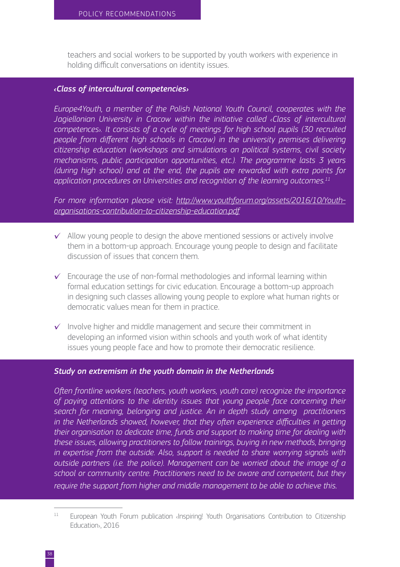teachers and social workers to be supported by youth workers with experience in holding difficult conversations on identity issues.

#### *‹Class of intercultural competencies›*

*Europe4Youth, a member of the Polish National Youth Council, cooperates with the*  Jagiellonian University in Cracow within the initiative called **«Class of intercultural** *competences›. It consists of a cycle of meetings for high school pupils (30 recruited people from different high schools in Cracow) in the university premises delivering citizenship education (workshops and simulations on political systems, civil society mechanisms, public participation opportunities, etc.). The programme lasts 3 years (during high school) and at the end, the pupils are rewarded with extra points for application procedures on Universities and recognition of the learning outcomes.11*

*For more information please visit: [http://www.youthforum.org/assets/2016/10/Youth](http://www.youthforum.org/assets/2016/10/Youth-organisations-contribution-to-citizenship-education.pdf)[organisations-contribution-to-citizenship-education.pdf](http://www.youthforum.org/assets/2016/10/Youth-organisations-contribution-to-citizenship-education.pdf)*

- $\checkmark$  Allow young people to design the above mentioned sessions or actively involve them in a bottom-up approach. Encourage young people to design and facilitate discussion of issues that concern them.
- $\checkmark$  Encourage the use of non-formal methodologies and informal learning within formal education settings for civic education. Encourage a bottom-up approach in designing such classes allowing young people to explore what human rights or democratic values mean for them in practice.
- $\checkmark$  Involve higher and middle management and secure their commitment in developing an informed vision within schools and youth work of what identity issues young people face and how to promote their democratic resilience.

#### *Study on extremism in the youth domain in the Netherlands*

*Often frontline workers (teachers, youth workers, youth care) recognize the importance of paying attentions to the identity issues that young people face concerning their search for meaning, belonging and justice. An in depth study among practitioners in the Netherlands showed, however, that they often experience difficulties in getting their organisation to dedicate time, funds and support to making time for dealing with these issues, allowing practitioners to follow trainings, buying in new methods, bringing in expertise from the outside. Also, support is needed to share worrying signals with outside partners (i.e. the police). Management can be worried about the image of a school or community centre. Practitioners need to be aware and competent, but they require the support from higher and middle management to be able to achieve this.*

<sup>&</sup>lt;sup>11</sup> European Youth Forum publication «Inspiring! Youth Organisations Contribution to Citizenship Education›, 2016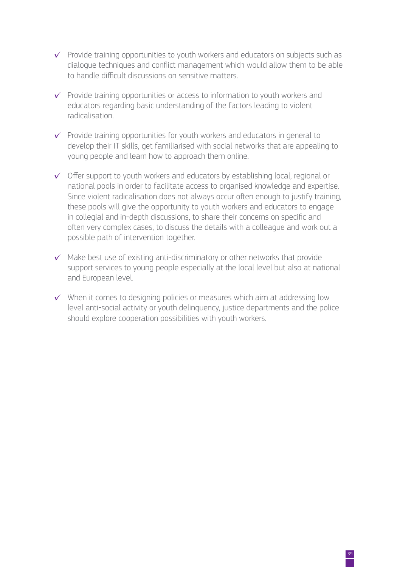- $\checkmark$  Provide training opportunities to youth workers and educators on subjects such as dialogue techniques and conflict management which would allow them to be able to handle difficult discussions on sensitive matters.
- $\checkmark$  Provide training opportunities or access to information to youth workers and educators regarding basic understanding of the factors leading to violent radicalisation.
- $\checkmark$  Provide training opportunities for youth workers and educators in general to develop their IT skills, get familiarised with social networks that are appealing to young people and learn how to approach them online.
- $\checkmark$  Offer support to youth workers and educators by establishing local, regional or national pools in order to facilitate access to organised knowledge and expertise. Since violent radicalisation does not always occur often enough to justify training, these pools will give the opportunity to youth workers and educators to engage in collegial and in-depth discussions, to share their concerns on specific and often very complex cases, to discuss the details with a colleague and work out a possible path of intervention together.
- $\checkmark$  Make best use of existing anti-discriminatory or other networks that provide support services to young people especially at the local level but also at national and European level.
- $\checkmark$  When it comes to designing policies or measures which aim at addressing low level anti-social activity or youth delinquency, justice departments and the police should explore cooperation possibilities with youth workers.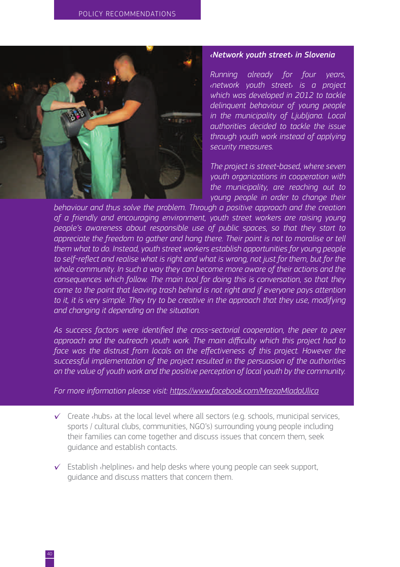

#### *‹Network youth street› in Slovenia*

*Running already for four years, ‹network youth street› is a project which was developed in 2012 to tackle delinquent behaviour of young people in the municipality of Ljubljana. Local authorities decided to tackle the issue through youth work instead of applying security measures.* 

*The project is street-based, where seven youth organizations in cooperation with the municipality, are reaching out to young people in order to change their* 

*behaviour and thus solve the problem. Through a positive approach and the creation of a friendly and encouraging environment, youth street workers are raising young people's awareness about responsible use of public spaces, so that they start to appreciate the freedom to gather and hang there. Their point is not to moralise or tell them what to do. Instead, youth street workers establish opportunities for young people to self-reflect and realise what is right and what is wrong, not just for them, but for the whole community. In such a way they can become more aware of their actions and the consequences which follow. The main tool for doing this is conversation, so that they come to the point that leaving trash behind is not right and if everyone pays attention*  to it, it is very simple. They try to be creative in the approach that they use, modifying *and changing it depending on the situation.* 

*As success factors were identified the cross-sectorial cooperation, the peer to peer approach and the outreach youth work. The main difficulty which this project had to*  face was the distrust from locals on the effectiveness of this project. However the *successful implementation of the project resulted in the persuasion of the authorities on the value of youth work and the positive perception of local youth by the community.*

*For more information please visit:<https://www.facebook.com/MrezaMladaUlica>*

- $\checkmark$  Create  $\langle$ hubs $\rangle$  at the local level where all sectors (e.g. schools, municipal services, sports / cultural clubs, communities, NGO's) surrounding young people including their families can come together and discuss issues that concern them, seek guidance and establish contacts.
- $\checkmark$  Establish  $\checkmark$  helplines and help desks where young people can seek support, guidance and discuss matters that concern them.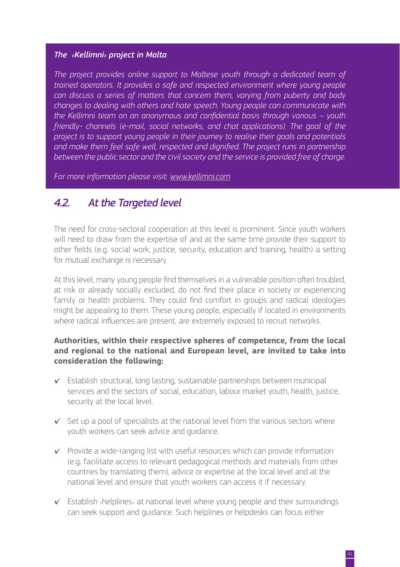#### <span id="page-42-0"></span>*The ‹Kellimni› project in Malta*

*The project provides online support to Maltese youth through a dedicated team of trained operators. It provides a safe and respected environment where young people can discuss a series of matters that concern them, varying from puberty and body changes to dealing with others and hate speech. Young people can communicate with the Kellimni team on an anonymous and confidential basis through various – youth friendly- channels (e-mail, social networks, and chat applications). The goal of the project is to support young people in their journey to realise their goals and potentials and make them feel safe well, respected and dignified. The project runs in partnership between the public sector and the civil society and the service is provided free of charge.*

*For more information please visit: [www.kellimni.com](http://www.kellimni.com)*

### *4.2. At the Targeted level*

The need for cross-sectoral cooperation at this level is prominent. Since youth workers will need to draw from the expertise of and at the same time provide their support to other fields (e.g. social work, justice, security, education and training, health) a setting for mutual exchange is necessary.

At this level, many young people find themselves in a vulnerable position often troubled, at risk or already socially excluded, do not find their place in society or experiencing family or health problems. They could find comfort in groups and radical ideologies might be appealing to them. These young people, especially if located in environments where radical influences are present, are extremely exposed to recruit networks.

#### **Authorities, within their respective spheres of competence, from the local and regional to the national and European level, are invited to take into consideration the following:**

- $\checkmark$  Establish structural, long lasting, sustainable partnerships between municipal services and the sectors of social, education, labour market youth, health, justice, security at the local level.
- $\checkmark$  Set up a pool of specialists at the national level from the various sectors where youth workers can seek advice and guidance.
- $\checkmark$  Provide a wide-ranging list with useful resources which can provide information (e.g. facilitate access to relevant pedagogical methods and materials from other countries by translating them), advice or expertise at the local level and at the national level and ensure that youth workers can access it if necessary.
- $\checkmark$  Establish ‹helplines› at national level where young people and their surroundings can seek support and guidance. Such helplines or helpdesks can focus either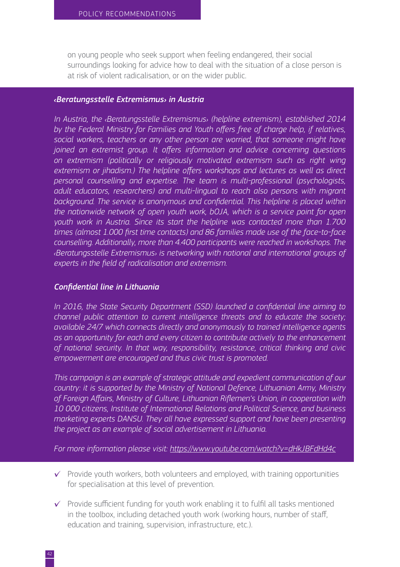on young people who seek support when feeling endangered, their social surroundings looking for advice how to deal with the situation of a close person is at risk of violent radicalisation, or on the wider public.

#### *‹Beratungsstelle Extremismus› in Austria*

*In Austria, the ‹Beratungsstelle Extremismus› (helpline extremism), established 2014 by the Federal Ministry for Families and Youth offers free of charge help, if relatives, social workers, teachers or any other person are worried, that someone might have joined an extremist group. It offers information and advice concerning questions on extremism (politically or religiously motivated extremism such as right wing extremism or jihadism.) The helpline offers workshops and lectures as well as direct personal counselling and expertise. The team is multi-professional (psychologists, adult educators, researchers) and multi-lingual to reach also persons with migrant*  background. The service is anonymous and confidential. This helpline is placed within *the nationwide network of open youth work, bOJA, which is a service point for open youth work in Austria. Since its start the helpline was contacted more than 1.700 times (almost 1.000 first time contacts) and 86 families made use of the face-to-face counselling. Additionally, more than 4.400 participants were reached in workshops. The ‹Beratungsstelle Extremismus› is networking with national and international groups of experts in the field of radicalisation and extremism.*

#### *Confidential line in Lithuania*

*In 2016, the State Security Department (SSD) launched a confidential line aiming to channel public attention to current intelligence threats and to educate the society; available 24/7 which connects directly and anonymously to trained intelligence agents as an opportunity for each and every citizen to contribute actively to the enhancement of national security. In that way, responsibility, resistance, critical thinking and civic empowerment are encouraged and thus civic trust is promoted.*

*This campaign is an example of strategic attitude and expedient communication of our country: it is supported by the Ministry of National Defence, Lithuanian Army, Ministry of Foreign Affairs, Ministry of Culture, Lithuanian Riflemen's Union, in cooperation with 10 000 citizens, Institute of International Relations and Political Science, and business marketing experts DANSU. They all have expressed support and have been presenting the project as an example of social advertisement in Lithuania.* 

*For more information please visit:<https://www.youtube.com/watch?v=dHkJBFdHd4c>*

- $\checkmark$  Provide youth workers, both volunteers and employed, with training opportunities for specialisation at this level of prevention.
- $\checkmark$  Provide sufficient funding for youth work enabling it to fulfil all tasks mentioned in the toolbox, including detached youth work (working hours, number of staff, education and training, supervision, infrastructure, etc.).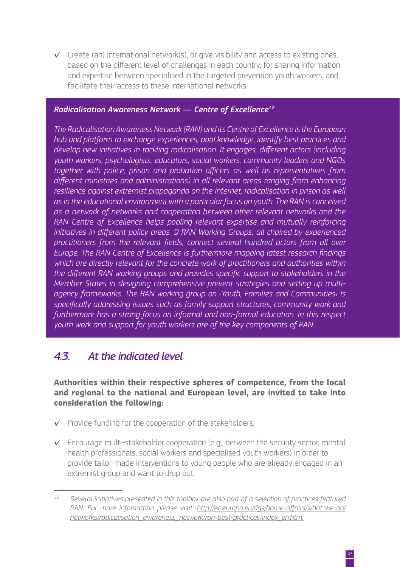<span id="page-44-0"></span> $\checkmark$  Create (an) international network(s), or give visibility and access to existing ones, based on the different level of challenges in each country, for sharing information and expertise between specialised in the targeted prevention youth workers, and facilitate their access to these international networks.

#### *Radicalisation Awareness Network — Centre of Excellence12*

*The Radicalisation Awareness Network (RAN) and its Centre of Excellence is the European hub and platform to exchange experiences, pool knowledge, identify best practices and develop new initiatives in tackling radicalisation. It engages, different actors (including youth workers, psychologists, educators, social workers, community leaders and NGOs together with police, prison and probation officers as well as representatives from different ministries and administrations) in all relevant areas ranging from enhancing resilience against extremist propaganda on the internet, radicalisation in prison as well as in the educational environment with a particular focus on youth. The RAN is conceived as a network of networks and cooperation between other relevant networks and the RAN Centre of Excellence helps pooling relevant expertise and mutually reinforcing initiatives in different policy areas. 9 RAN Working Groups, all chaired by experienced practitioners from the relevant fields, connect several hundred actors from all over Europe. The RAN Centre of Excellence is furthermore mapping latest research findings which are directly relevant for the concrete work of practitioners and authorities within the different RAN working groups and provides specific support to stakeholders in the Member States in designing comprehensive prevent strategies and setting up multiagency frameworks. The RAN working group on ‹Youth, Families and Communities› is specifically addressing issues such as family support structures, community work and furthermore has a strong focus on informal and non-formal education. In this respect youth work and support for youth workers are of the key components of RAN.*

### *4.3. At the indicated level*

**Authorities within their respective spheres of competence, from the local and regional to the national and European level, are invited to take into consideration the following:**

- $\checkmark$  Provide funding for the cooperation of the stakeholders.
- $\checkmark$  Encourage multi-stakeholder cooperation (e.g., between the security sector, mental health professionals, social workers and specialised youth workers) in order to provide tailor-made interventions to young people who are already engaged in an extremist group and want to drop out.

<sup>12</sup> *Several initiatives presented in this toolbox are also part of a selection of practices featured RAN. For more information please visit: [http://ec.europa.eu/dgs/home-affairs/what-we-do/](http://ec.europa.eu/dgs/home-affairs/what-we-do/networks/radicalisation_awareness_network/ran-best-practices/index_en.htm.) [networks/radicalisation\\_awareness\\_network/ran-best-practices/index\\_en.htm.](http://ec.europa.eu/dgs/home-affairs/what-we-do/networks/radicalisation_awareness_network/ran-best-practices/index_en.htm.)*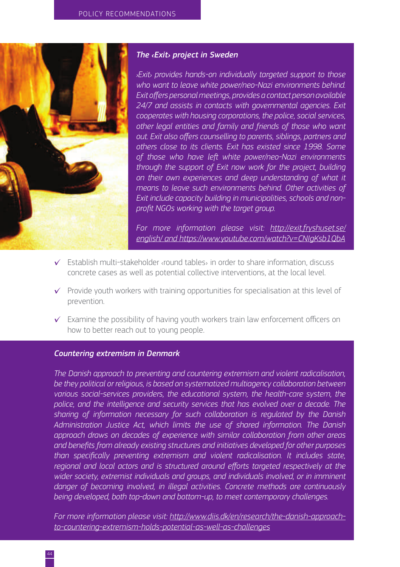

#### *The ‹Exit› project in Sweden*

*›Exit› provides hands-on individually targeted support to those who want to leave white power/neo-Nazi environments behind. Exit offers personal meetings, provides a contact person available 24/7 and assists in contacts with governmental agencies. Exit cooperates with housing corporations, the police, social services, other legal entities and family and friends of those who want out. Exit also offers counselling to parents, siblings, partners and others close to its clients. Exit has existed since 1998. Some of those who have left white power/neo-Nazi environments through the support of Exit now work for the project, building on their own experiences and deep understanding of what it means to leave such environments behind. Other activities of Exit include capacity building in municipalities, schools and nonprofit NGOs working with the target group.*

*For more information please visit: [http://exit.fryshuset.se/](http://exit.fryshuset.se/english/) [english/](http://exit.fryshuset.se/english/) and<https://www.youtube.com/watch?v=CNIgKsb1QbA>*

- $\checkmark$  Establish multi-stakeholder ‹round tables› in order to share information, discuss concrete cases as well as potential collective interventions, at the local level.
- $\checkmark$  Provide youth workers with training opportunities for specialisation at this level of prevention.
- $\checkmark$  Examine the possibility of having youth workers train law enforcement officers on how to better reach out to young people.

#### *Countering extremism in Denmark*

*The Danish approach to preventing and countering extremism and violent radicalisation, be they political or religious, is based on systematized multiagency collaboration between various social-services providers, the educational system, the health-care system, the police, and the intelligence and security services that has evolved over a decade. The sharing of information necessary for such collaboration is regulated by the Danish Administration Justice Act, which limits the use of shared information. The Danish approach draws on decades of experience with similar collaboration from other areas and benefits from already existing structures and initiatives developed for other purposes than specifically preventing extremism and violent radicalisation. It includes state, regional and local actors and is structured around efforts targeted respectively at the wider society, extremist individuals and groups, and individuals involved, or in imminent danger of becoming involved, in illegal activities. Concrete methods are continuously being developed, both top-down and bottom-up, to meet contemporary challenges.*

*For more information please visit: [http://www.diis.dk/en/research/the-danish-approach](http://www.diis.dk/en/research/the-danish-approach-to-countering-extremism-holds-potential-as-well-as-challenges)[to-countering-extremism-holds-potential-as-well-as-challenges](http://www.diis.dk/en/research/the-danish-approach-to-countering-extremism-holds-potential-as-well-as-challenges)*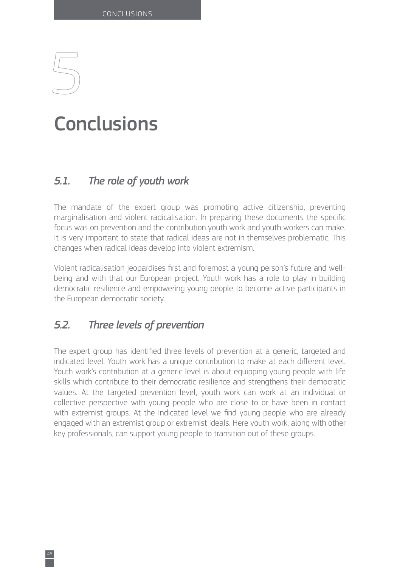## <span id="page-47-0"></span>**Conclusions**

## *5.1. The role of youth work*

The mandate of the expert group was promoting active citizenship, preventing marginalisation and violent radicalisation. In preparing these documents the specific focus was on prevention and the contribution youth work and youth workers can make. It is very important to state that radical ideas are not in themselves problematic. This changes when radical ideas develop into violent extremism.

Violent radicalisation jeopardises first and foremost a young person's future and wellbeing and with that our European project. Youth work has a role to play in building democratic resilience and empowering young people to become active participants in the European democratic society.

## *5.2. Three levels of prevention*

The expert group has identified three levels of prevention at a generic, targeted and indicated level. Youth work has a unique contribution to make at each different level. Youth work's contribution at a generic level is about equipping young people with life skills which contribute to their democratic resilience and strengthens their democratic values. At the targeted prevention level, youth work can work at an individual or collective perspective with young people who are close to or have been in contact with extremist groups. At the indicated level we find young people who are already engaged with an extremist group or extremist ideals. Here youth work, along with other key professionals, can support young people to transition out of these groups.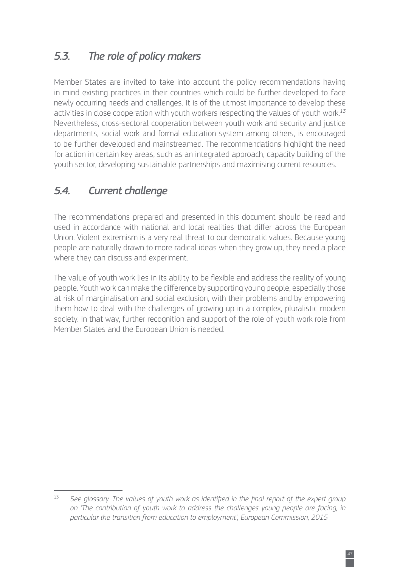## <span id="page-48-0"></span>*5.3. The role of policy makers*

Member States are invited to take into account the policy recommendations having in mind existing practices in their countries which could be further developed to face newly occurring needs and challenges. It is of the utmost importance to develop these activities in close cooperation with youth workers respecting the values of youth work.*<sup>13</sup>* Nevertheless, cross-sectoral cooperation between youth work and security and justice departments, social work and formal education system among others, is encouraged to be further developed and mainstreamed. The recommendations highlight the need for action in certain key areas, such as an integrated approach, capacity building of the youth sector, developing sustainable partnerships and maximising current resources.

## *5.4. Current challenge*

The recommendations prepared and presented in this document should be read and used in accordance with national and local realities that differ across the European Union. Violent extremism is a very real threat to our democratic values. Because young people are naturally drawn to more radical ideas when they grow up, they need a place where they can discuss and experiment.

The value of youth work lies in its ability to be flexible and address the reality of young people. Youth work can make the difference by supporting young people, especially those at risk of marginalisation and social exclusion, with their problems and by empowering them how to deal with the challenges of growing up in a complex, pluralistic modern society. In that way, further recognition and support of the role of youth work role from Member States and the European Union is needed.

<sup>&</sup>lt;sup>13</sup> See glossary. The values of youth work as identified in the final report of the expert group *on 'The contribution of youth work to address the challenges young people are facing, in particular the transition from education to employment', European Commission, 2015*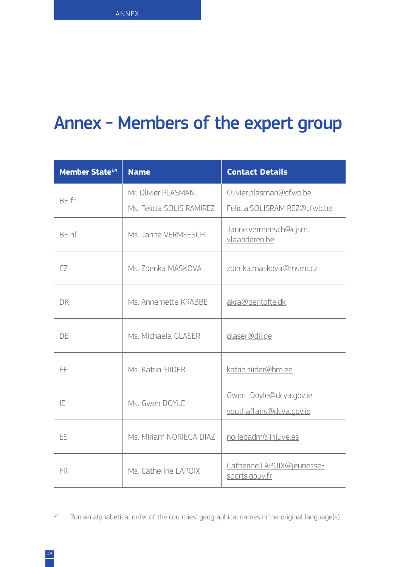## <span id="page-49-0"></span>Annex - Members of the expert group

| <b>Member State<sup>14</sup></b> | <b>Name</b>               | <b>Contact Details</b>                       |
|----------------------------------|---------------------------|----------------------------------------------|
| RF fr                            | Mr. Olivier PLASMAN       | Olivier.plasman@cfwb.be                      |
|                                  | Ms. Felicia SOLIS RAMIREZ | Felicia.SOLISRAMIREZ@cfwb.be                 |
| RF nl                            | Ms. Janne VERMEESCH       | Janne.vermeesch@cjsm.<br>vlaanderen.be       |
| $\sqrt{7}$                       | Ms. 7denka MASKOVA        | zdenka.maskova@msmt.cz                       |
| DK                               | Ms. Annemette KRABBE      | akra@gentofte.dk                             |
| DF                               | Ms. Michaela GLASER       | glaser@dji.de                                |
| EE                               | Ms. Katrin SIIDER         | katrin.siider@hm.ee                          |
| IF                               | Ms Gwen DOYLE             | Gwen_Doyle@dcya.gov.ie                       |
|                                  |                           | youthaffairs@dcya.gov.ie                     |
| Fς                               | Ms Miriam NORIFGA DIAZ    | noriegadm@injuve.es                          |
| <b>FR</b>                        | Ms. Catherine LAPOIX      | Catherine.LAPOIX@jeunesse-<br>sports.gouv.fr |

<sup>14</sup> Roman alphabetical order of the countries' geographical names in the original language(s).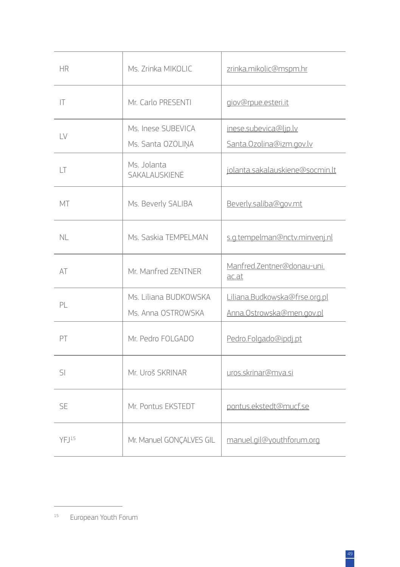| <b>HR</b>         | Ms. Zrinka MIKOLIC           | zrinka.mikolic@mspm.hr              |
|-------------------|------------------------------|-------------------------------------|
| ΙT                | Mr. Carlo PRESENTI           | giov@rpue.esteri.it                 |
| LV                | Ms. Inese SUBEVICA           | inese.subevica@ljp.lv               |
|                   | Ms. Santa OZOLIŅA            | Santa.Ozolina@izm.gov.lv            |
| LT                | Ms. Jolanta<br>SAKALAUSKIENĖ | jolanta.sakalauskiene@socmin.lt     |
| МT                | Ms. Beverly SALIBA           | Beverly.saliba@gov.mt               |
| NL                | Ms. Saskia TEMPELMAN         | s.g.tempelman@nctv.minvenj.nl       |
| AT                | Mr. Manfred ZENTNER          | Manfred.Zentner@donau-uni.<br>ac.at |
| PI                | Ms. Liliana BUDKOWSKA        | Liliana.Budkowska@frse.org.pl       |
|                   | Ms. Anna OSTROWSKA           | Anna.Ostrowska@men.gov.pl           |
| PT                | Mr. Pedro FOLGADO            | Pedro.Folgado@ipdj.pt               |
| $\mathsf{S}$      | Mr. Uroš SKRINAR             | uros.skrinar@mva.si                 |
| <b>SE</b>         | Mr. Pontus EKSTEDT           | pontus.ekstedt@mucf.se              |
| YFJ <sup>15</sup> | Mr. Manuel GONCALVES GIL     | manuel.gil@youthforum.org           |

<sup>15</sup> European Youth Forum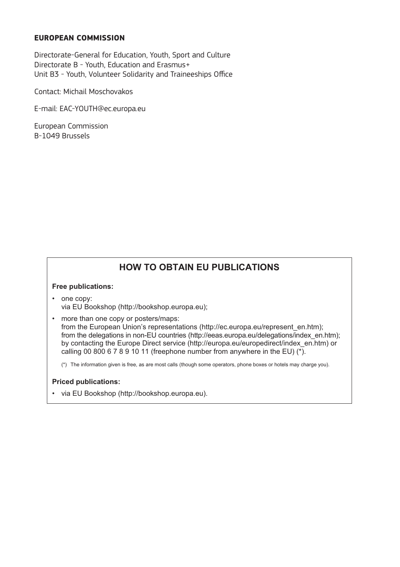#### European Commission - Directorate-General for Education and Culture **EUROPEAN COMMISSION**

Directorate-General for Education, Youth, Sport and Culture Luxembourg: Publications Office of the European Union Unit B3 - Youth, Volunteer Solidarity and Traineeships Office Directorate B - Youth, Education and Erasmus+

Contact: Michail Moschovakos

E-mail: EAC-YOUTH@ec.europa.eu

European Commission B-1049 Brussels

### **HOW TO OBTAIN EU PUBLICATIONS**

#### **Free publications:**

- one copy: via EU Bookshop (http://bookshop.europa.eu);
- more than one copy or posters/maps:

from the European Union's representations (http://ec.europa.eu/represent\_en.htm); from the delegations in non-EU countries (http://eeas.europa.eu/delegations/index\_en.htm); by contacting the Europe Direct service (http://europa.eu/europedirect/index\_en.htm) or calling 00 800 6 7 8 9 10 11 (freephone number from anywhere in the EU)  $(*)$ .

(\*) The information given is free, as are most calls (though some operators, phone boxes or hotels may charge you).

#### **Priced publications:**

• via EU Bookshop (http://bookshop.europa.eu).